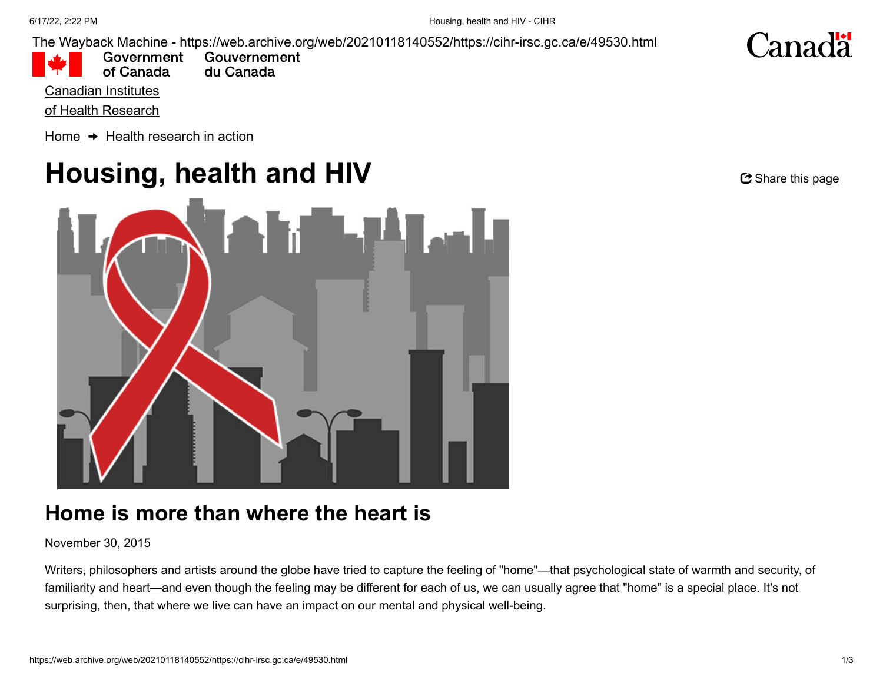The Wayback Machine - https://web.archive.org/web/20210118140552/https://cihr-irsc.gc.ca/e/49530.html

of Canada

Government Gouvernement du Canada

Canadian Institutes

[of Health Research](https://web.archive.org/web/20210118140552/https://cihr-irsc.gc.ca/e/193.html)

[Home](https://web.archive.org/web/20210118140552/https://cihr-irsc.gc.ca/e/193.html)  $\rightarrow$  [Health research in action](https://web.archive.org/web/20210118140552/https://cihr-irsc.gc.ca/e/49150.html)

# **Housing, health and HIV**



## **Home is more than where the heart is**

November 30, 2015

Writers, philosophers and artists around the globe have tried to capture the feeling of "home"—that psychological state of warmth and security, of familiarity and heart—and even though the feeling may be different for each of us, we can usually agree that "home" is a special place. It's not surprising, then, that where we live can have an impact on our mental and physical well-being.

<u> C Share this page</u>

**Canadä**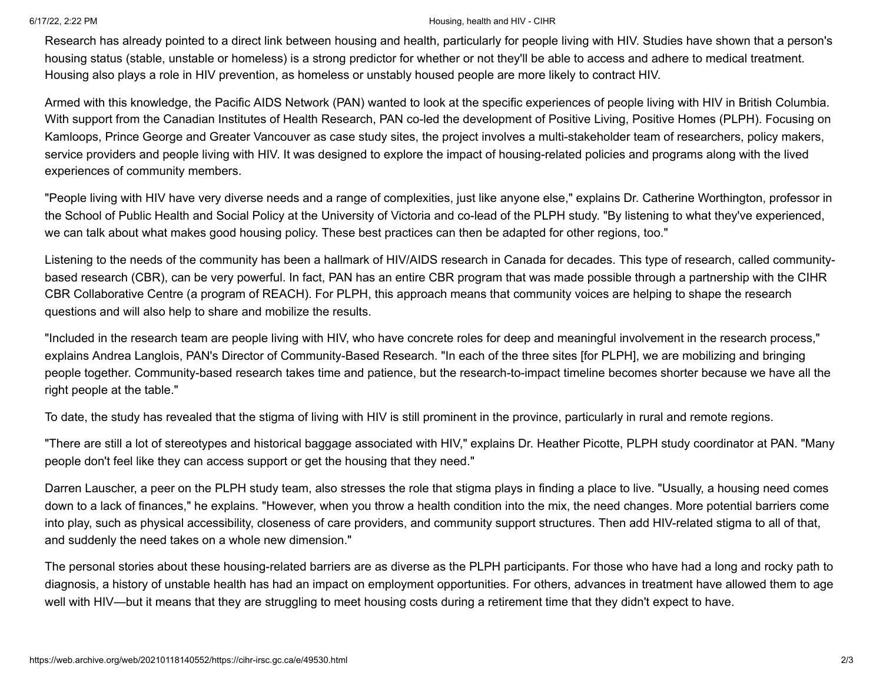#### 6/17/22, 2:22 PM Housing, health and HIV - CIHR

Research has already pointed to a direct link between housing and health, particularly for people living with HIV. Studies have shown that a person's housing status (stable, unstable or homeless) is a strong predictor for whether or not they'll be able to access and adhere to medical treatment. Housing also plays a role in HIV prevention, as homeless or unstably housed people are more likely to contract HIV.

Armed with this knowledge, the Pacific AIDS Network (PAN) wanted to look at the specific experiences of people living with HIV in British Columbia. With support from the Canadian Institutes of Health Research, PAN co-led the development of Positive Living, Positive Homes (PLPH). Focusing on Kamloops, Prince George and Greater Vancouver as case study sites, the project involves a multi-stakeholder team of researchers, policy makers, service providers and people living with HIV. It was designed to explore the impact of housing-related policies and programs along with the lived experiences of community members.

"People living with HIV have very diverse needs and a range of complexities, just like anyone else," explains Dr. Catherine Worthington, professor in the School of Public Health and Social Policy at the University of Victoria and co-lead of the PLPH study. "By listening to what they've experienced, we can talk about what makes good housing policy. These best practices can then be adapted for other regions, too."

Listening to the needs of the community has been a hallmark of HIV/AIDS research in Canada for decades. This type of research, called communitybased research (CBR), can be very powerful. In fact, PAN has an entire CBR program that was made possible through a partnership with the CIHR CBR Collaborative Centre (a program of REACH). For PLPH, this approach means that community voices are helping to shape the research questions and will also help to share and mobilize the results.

"Included in the research team are people living with HIV, who have concrete roles for deep and meaningful involvement in the research process," explains Andrea Langlois, PAN's Director of Community-Based Research. "In each of the three sites [for PLPH], we are mobilizing and bringing people together. Community-based research takes time and patience, but the research-to-impact timeline becomes shorter because we have all the right people at the table."

To date, the study has revealed that the stigma of living with HIV is still prominent in the province, particularly in rural and remote regions.

"There are still a lot of stereotypes and historical baggage associated with HIV," explains Dr. Heather Picotte, PLPH study coordinator at PAN. "Many people don't feel like they can access support or get the housing that they need."

Darren Lauscher, a peer on the PLPH study team, also stresses the role that stigma plays in finding a place to live. "Usually, a housing need comes down to a lack of finances," he explains. "However, when you throw a health condition into the mix, the need changes. More potential barriers come into play, such as physical accessibility, closeness of care providers, and community support structures. Then add HIV-related stigma to all of that, and suddenly the need takes on a whole new dimension."

The personal stories about these housing-related barriers are as diverse as the PLPH participants. For those who have had a long and rocky path to diagnosis, a history of unstable health has had an impact on employment opportunities. For others, advances in treatment have allowed them to age well with HIV—but it means that they are struggling to meet housing costs during a retirement time that they didn't expect to have.